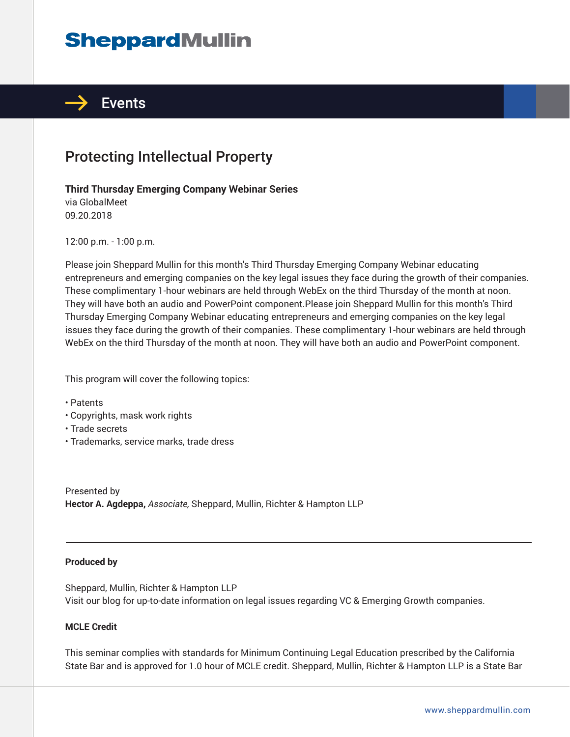# **SheppardMullin**



## Protecting Intellectual Property

#### **Third Thursday Emerging Company Webinar Series**

via GlobalMeet 09.20.2018

12:00 p.m. - 1:00 p.m.

Please join Sheppard Mullin for this month's Third Thursday Emerging Company Webinar educating entrepreneurs and emerging companies on the key legal issues they face during the growth of their companies. These complimentary 1-hour webinars are held through WebEx on the third Thursday of the month at noon. They will have both an audio and PowerPoint component.Please join Sheppard Mullin for this month's Third Thursday Emerging Company Webinar educating entrepreneurs and emerging companies on the key legal issues they face during the growth of their companies. These complimentary 1-hour webinars are held through WebEx on the third Thursday of the month at noon. They will have both an audio and PowerPoint component.

This program will cover the following topics:

- Patents
- Copyrights, mask work rights
- Trade secrets
- Trademarks, service marks, trade dress

Presented by **Hector A. Agdeppa,** *Associate,* Sheppard, Mullin, Richter & Hampton LLP

#### **Produced by**

֦

Sheppard, Mullin, Richter & Hampton LLP Visit our blog for up-to-date information on legal issues regarding VC & Emerging Growth companies.

#### **MCLE Credit**

This seminar complies with standards for Minimum Continuing Legal Education prescribed by the California State Bar and is approved for 1.0 hour of MCLE credit. Sheppard, Mullin, Richter & Hampton LLP is a State Bar